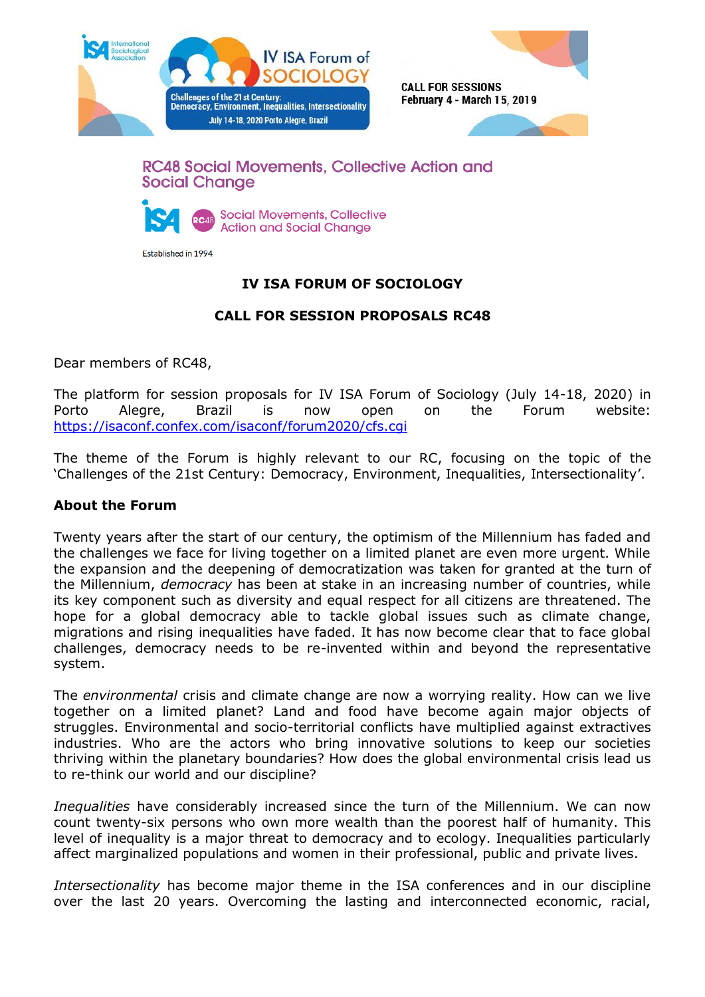



## **RC48 Social Movements, Collective Action and Social Change**



Established in 1994

# **IV ISA FORUM OF SOCIOLOGY**

## **CALL FOR SESSION PROPOSALS RC48**

Dear members of RC48,

The platform for session proposals for IV ISA Forum of Sociology (July 14-18, 2020) in Porto Alegre, Brazil is now open on the Forum website: <https://isaconf.confex.com/isaconf/forum2020/cfs.cgi>

The theme of the Forum is highly relevant to our RC, focusing on the topic of the 'Challenges of the 21st Century: Democracy, Environment, Inequalities, Intersectionality'.

#### **About the Forum**

Twenty years after the start of our century, the optimism of the Millennium has faded and the challenges we face for living together on a limited planet are even more urgent. While the expansion and the deepening of democratization was taken for granted at the turn of the Millennium, *democracy* has been at stake in an increasing number of countries, while its key component such as diversity and equal respect for all citizens are threatened. The hope for a global democracy able to tackle global issues such as climate change, migrations and rising inequalities have faded. It has now become clear that to face global challenges, democracy needs to be re-invented within and beyond the representative system.

The *environmental* crisis and climate change are now a worrying reality. How can we live together on a limited planet? Land and food have become again major objects of struggles. Environmental and socio-territorial conflicts have multiplied against extractives industries. Who are the actors who bring innovative solutions to keep our societies thriving within the planetary boundaries? How does the global environmental crisis lead us to re-think our world and our discipline?

*Inequalities* have considerably increased since the turn of the Millennium. We can now count twenty-six persons who own more wealth than the poorest half of humanity. This level of inequality is a major threat to democracy and to ecology. Inequalities particularly affect marginalized populations and women in their professional, public and private lives.

*Intersectionality* has become major theme in the ISA conferences and in our discipline over the last 20 years. Overcoming the lasting and interconnected economic, racial,